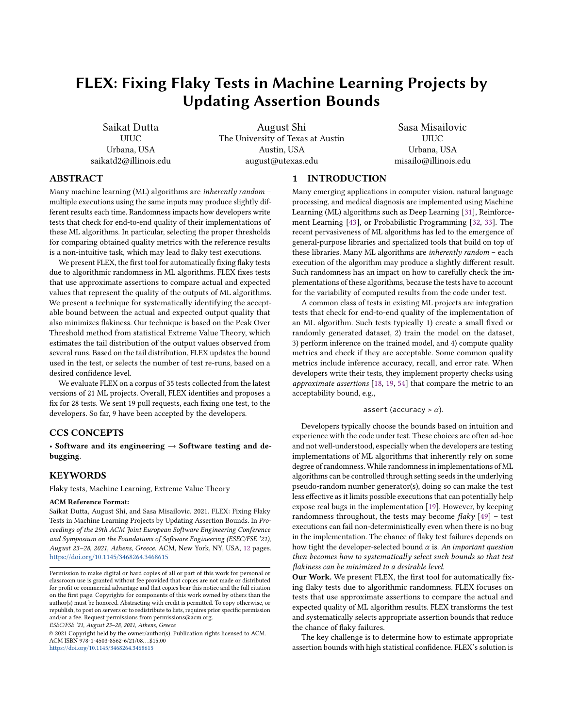# FLEX: Fixing Flaky Tests in Machine Learning Projects by Updating Assertion Bounds

Saikat Dutta UIUC Urbana, USA saikatd2@illinois.edu

August Shi The University of Texas at Austin Austin, USA august@utexas.edu

Sasa Misailovic UIUC Urbana, USA misailo@illinois.edu

## ABSTRACT

Many machine learning (ML) algorithms are inherently random – multiple executions using the same inputs may produce slightly different results each time. Randomness impacts how developers write tests that check for end-to-end quality of their implementations of these ML algorithms. In particular, selecting the proper thresholds for comparing obtained quality metrics with the reference results is a non-intuitive task, which may lead to flaky test executions.

We present FLEX, the first tool for automatically fixing flaky tests due to algorithmic randomness in ML algorithms. FLEX fixes tests that use approximate assertions to compare actual and expected values that represent the quality of the outputs of ML algorithms. We present a technique for systematically identifying the acceptable bound between the actual and expected output quality that also minimizes flakiness. Our technique is based on the Peak Over Threshold method from statistical Extreme Value Theory, which estimates the tail distribution of the output values observed from several runs. Based on the tail distribution, FLEX updates the bound used in the test, or selects the number of test re-runs, based on a desired confidence level.

We evaluate FLEX on a corpus of 35 tests collected from the latest versions of 21 ML projects. Overall, FLEX identifies and proposes a fix for 28 tests. We sent 19 pull requests, each fixing one test, to the developers. So far, 9 have been accepted by the developers.

# CCS CONCEPTS

• Software and its engineering  $\rightarrow$  Software testing and debugging.

## KEYWORDS

Flaky tests, Machine Learning, Extreme Value Theory

#### ACM Reference Format:

Saikat Dutta, August Shi, and Sasa Misailovic. 2021. FLEX: Fixing Flaky Tests in Machine Learning Projects by Updating Assertion Bounds. In Proceedings of the 29th ACM Joint European Software Engineering Conference and Symposium on the Foundations of Software Engineering (ESEC/FSE '21), August 23–28, 2021, Athens, Greece. ACM, New York, NY, USA, [12](#page-11-0) pages. <https://doi.org/10.1145/3468264.3468615>

ESEC/FSE '21, August 23–28, 2021, Athens, Greece

© 2021 Copyright held by the owner/author(s). Publication rights licensed to ACM. ACM ISBN 978-1-4503-8562-6/21/08. . . \$15.00 <https://doi.org/10.1145/3468264.3468615>

# 1 INTRODUCTION

Many emerging applications in computer vision, natural language processing, and medical diagnosis are implemented using Machine Learning (ML) algorithms such as Deep Learning [\[31\]](#page-11-1), Reinforcement Learning [\[43\]](#page-11-2), or Probabilistic Programming [\[32,](#page-11-3) [33\]](#page-11-4). The recent pervasiveness of ML algorithms has led to the emergence of general-purpose libraries and specialized tools that build on top of these libraries. Many ML algorithms are inherently random – each execution of the algorithm may produce a slightly different result. Such randomness has an impact on how to carefully check the implementations of these algorithms, because the tests have to account for the variability of computed results from the code under test.

A common class of tests in existing ML projects are integration tests that check for end-to-end quality of the implementation of an ML algorithm. Such tests typically 1) create a small fixed or randomly generated dataset, 2) train the model on the dataset, 3) perform inference on the trained model, and 4) compute quality metrics and check if they are acceptable. Some common quality metrics include inference accuracy, recall, and error rate. When developers write their tests, they implement property checks using approximate assertions [\[18,](#page-10-0) [19,](#page-10-1) [54\]](#page-11-5) that compare the metric to an acceptability bound, e.g.,

#### assert (accuracy  $> \alpha$ ).

Developers typically choose the bounds based on intuition and experience with the code under test. These choices are often ad-hoc and not well-understood, especially when the developers are testing implementations of ML algorithms that inherently rely on some degree of randomness. While randomness in implementations of ML algorithms can be controlled through setting seeds in the underlying pseudo-random number generator(s), doing so can make the test less effective as it limits possible executions that can potentially help expose real bugs in the implementation [\[19\]](#page-10-1). However, by keeping randomness throughout, the tests may become  $flaky$  [\[49\]](#page-11-6) – test executions can fail non-deterministically even when there is no bug in the implementation. The chance of flaky test failures depends on how tight the developer-selected bound  $\alpha$  is. An important question then becomes how to systematically select such bounds so that test flakiness can be minimized to a desirable level.

Our Work. We present FLEX, the first tool for automatically fixing flaky tests due to algorithmic randomness. FLEX focuses on tests that use approximate assertions to compare the actual and expected quality of ML algorithm results. FLEX transforms the test and systematically selects appropriate assertion bounds that reduce the chance of flaky failures.

The key challenge is to determine how to estimate appropriate assertion bounds with high statistical confidence. FLEX's solution is

Permission to make digital or hard copies of all or part of this work for personal or classroom use is granted without fee provided that copies are not made or distributed for profit or commercial advantage and that copies bear this notice and the full citation on the first page. Copyrights for components of this work owned by others than the author(s) must be honored. Abstracting with credit is permitted. To copy otherwise, or republish, to post on servers or to redistribute to lists, requires prior specific permission and/or a fee. Request permissions from permissions@acm.org.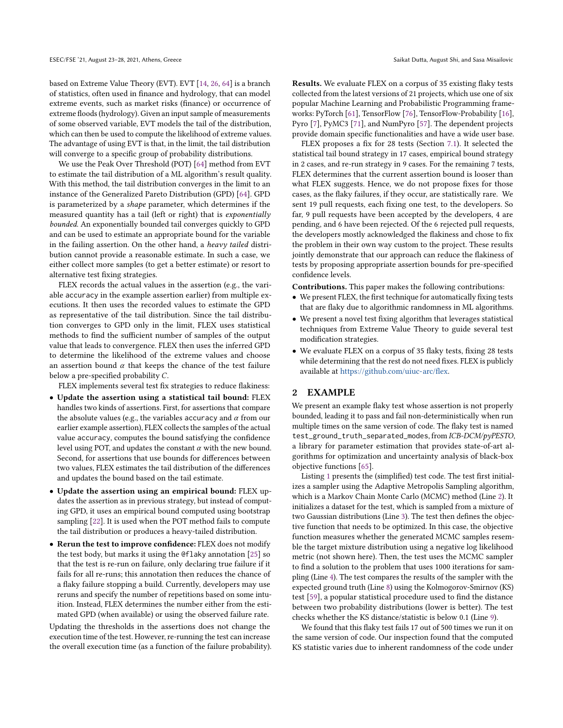based on Extreme Value Theory (EVT). EVT [\[14,](#page-10-2) [26,](#page-11-7) [64\]](#page-11-8) is a branch of statistics, often used in finance and hydrology, that can model extreme events, such as market risks (finance) or occurrence of extreme floods (hydrology). Given an input sample of measurements of some observed variable, EVT models the tail of the distribution, which can then be used to compute the likelihood of extreme values. The advantage of using EVT is that, in the limit, the tail distribution will converge to a specific group of probability distributions.

We use the Peak Over Threshold (POT) [\[64\]](#page-11-8) method from EVT to estimate the tail distribution of a ML algorithm's result quality. With this method, the tail distribution converges in the limit to an instance of the Generalized Pareto Distribution (GPD) [\[64\]](#page-11-8). GPD is parameterized by a shape parameter, which determines if the measured quantity has a tail (left or right) that is exponentially bounded. An exponentially bounded tail converges quickly to GPD and can be used to estimate an appropriate bound for the variable in the failing assertion. On the other hand, a heavy tailed distribution cannot provide a reasonable estimate. In such a case, we either collect more samples (to get a better estimate) or resort to alternative test fixing strategies.

FLEX records the actual values in the assertion (e.g., the variable accuracy in the example assertion earlier) from multiple executions. It then uses the recorded values to estimate the GPD as representative of the tail distribution. Since the tail distribution converges to GPD only in the limit, FLEX uses statistical methods to find the sufficient number of samples of the output value that leads to convergence. FLEX then uses the inferred GPD to determine the likelihood of the extreme values and choose an assertion bound  $\alpha$  that keeps the chance of the test failure below a pre-specified probability C.

FLEX implements several test fix strategies to reduce flakiness:

- Update the assertion using a statistical tail bound: FLEX handles two kinds of assertions. First, for assertions that compare the absolute values (e.g., the variables accuracy and  $\alpha$  from our earlier example assertion), FLEX collects the samples of the actual value accuracy, computes the bound satisfying the confidence level using POT, and updates the constant  $\alpha$  with the new bound. Second, for assertions that use bounds for differences between two values, FLEX estimates the tail distribution of the differences and updates the bound based on the tail estimate.
- Update the assertion using an empirical bound: FLEX updates the assertion as in previous strategy, but instead of computing GPD, it uses an empirical bound computed using bootstrap sampling [\[22\]](#page-11-9). It is used when the POT method fails to compute the tail distribution or produces a heavy-tailed distribution.
- Rerun the test to improve confidence: FLEX does not modify the test body, but marks it using the @flaky annotation [\[25\]](#page-11-10) so that the test is re-run on failure, only declaring true failure if it fails for all re-runs; this annotation then reduces the chance of a flaky failure stopping a build. Currently, developers may use reruns and specify the number of repetitions based on some intuition. Instead, FLEX determines the number either from the estimated GPD (when available) or using the observed failure rate.

Updating the thresholds in the assertions does not change the execution time of the test. However, re-running the test can increase the overall execution time (as a function of the failure probability). Results. We evaluate FLEX on a corpus of 35 existing flaky tests collected from the latest versions of 21 projects, which use one of six popular Machine Learning and Probabilistic Programming frameworks: PyTorch [\[61\]](#page-11-11), TensorFlow [\[76\]](#page-11-12), TensorFlow-Probability [\[16\]](#page-10-3), Pyro [\[7\]](#page-10-4), PyMC3 [\[71\]](#page-11-13), and NumPyro [\[57\]](#page-11-14). The dependent projects provide domain specific functionalities and have a wide user base.

FLEX proposes a fix for 28 tests (Section [7.1\)](#page-7-0). It selected the statistical tail bound strategy in 17 cases, empirical bound strategy in 2 cases, and re-run strategy in 9 cases. For the remaining 7 tests, FLEX determines that the current assertion bound is looser than what FLEX suggests. Hence, we do not propose fixes for those cases, as the flaky failures, if they occur, are statistically rare. We sent 19 pull requests, each fixing one test, to the developers. So far, 9 pull requests have been accepted by the developers, 4 are pending, and 6 have been rejected. Of the 6 rejected pull requests, the developers mostly acknowledged the flakiness and chose to fix the problem in their own way custom to the project. These results jointly demonstrate that our approach can reduce the flakiness of tests by proposing appropriate assertion bounds for pre-specified confidence levels.

Contributions. This paper makes the following contributions:

- We present FLEX, the first technique for automatically fixing tests that are flaky due to algorithmic randomness in ML algorithms.
- We present a novel test fixing algorithm that leverages statistical techniques from Extreme Value Theory to guide several test modification strategies.
- We evaluate FLEX on a corpus of 35 flaky tests, fixing 28 tests while determining that the rest do not need fixes. FLEX is publicly available at [https://github.com/uiuc-arc/flex.](https://github.com/uiuc-arc/flex)

## <span id="page-1-0"></span>2 EXAMPLE

We present an example flaky test whose assertion is not properly bounded, leading it to pass and fail non-deterministically when run multiple times on the same version of code. The flaky test is named test\_ground\_truth\_separated\_modes, from ICB-DCM/pyPESTO, a library for parameter estimation that provides state-of-art algorithms for optimization and uncertainty analysis of black-box objective functions [\[65\]](#page-11-15).

Listing [1](#page-2-0) presents the (simplified) test code. The test first initializes a sampler using the Adaptive Metropolis Sampling algorithm, which is a Markov Chain Monte Carlo (MCMC) method (Line [2\)](#page-2-1). It initializes a dataset for the test, which is sampled from a mixture of two Gaussian distributions (Line [3\)](#page-2-2). The test then defines the objective function that needs to be optimized. In this case, the objective function measures whether the generated MCMC samples resemble the target mixture distribution using a negative log likelihood metric (not shown here). Then, the test uses the MCMC sampler to find a solution to the problem that uses 1000 iterations for sampling (Line [4\)](#page-2-3). The test compares the results of the sampler with the expected ground truth (Line [8\)](#page-2-4) using the Kolmogorov-Smirnov (KS) test [\[59\]](#page-11-16), a popular statistical procedure used to find the distance between two probability distributions (lower is better). The test checks whether the KS distance/statistic is below 0.1 (Line [9\)](#page-2-5).

We found that this flaky test fails 17 out of 500 times we run it on the same version of code. Our inspection found that the computed KS statistic varies due to inherent randomness of the code under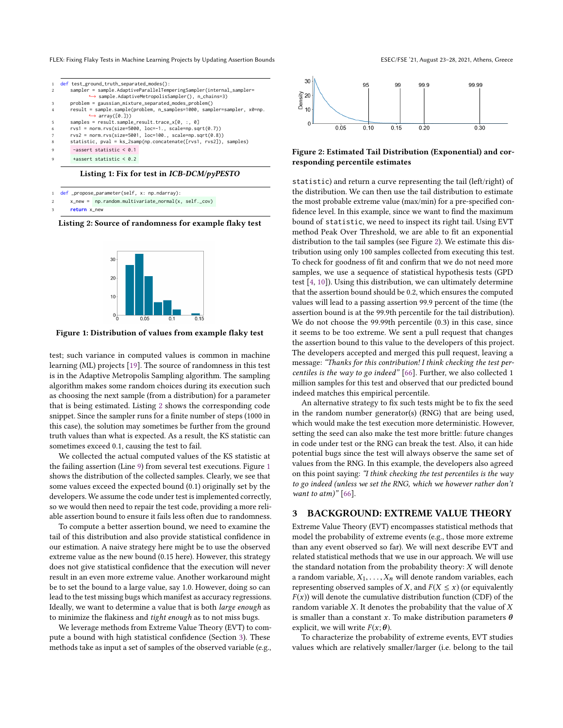<span id="page-2-3"></span><span id="page-2-2"></span><span id="page-2-1"></span><span id="page-2-0"></span>

| def test_ground_truth_separated_modes():                                |
|-------------------------------------------------------------------------|
| sampler = sample.AdaptiveParallelTemperingSampler(internal_sampler=     |
| → sample.AdaptiveMetropolisSampler(), n_chains=3)                       |
| problem = gaussian_mixture_separated_modes_problem()                    |
| result = sample.sample(problem, n_samples=1000, sampler=sampler, x0=np. |
| $\rightarrow$ array([0,]))                                              |
| samples = $result.sample\_result.trace_x[0, :, 0]$                      |
| $rvs1 = norm.rvs(size=5000, loc=-1., scale=np.sqrt(0.7))$               |
| $rvs2 = norm.rvs(size=5001, loc=100., scale=np.sqrt(0.8))$              |
| statistic, pval = ks_2samp(np.concatenate([rvs1, rvs2]), samples)       |
| $-assert$ statistic $\leq 0.1$                                          |
| $\text{tasset static} < 0.2$                                            |

<span id="page-2-5"></span><span id="page-2-4"></span>Listing 1: Fix for test in ICB-DCM/pyPESTO

```
def _propose_parameter(self, x: np.ndarray):
```

```
x_new = np.random.multivariate_normrmal(x, self._cov)
```
return x\_new

<span id="page-2-7"></span>Listing 2: Source of randomness for example flaky test



Figure 1: Distribution of values from example flaky test

test; such variance in computed values is common in machine learning (ML) projects [\[19\]](#page-10-1). The source of randomness in this test is in the Adaptive Metropolis Sampling algorithm. The sampling algorithm makes some random choices during its execution such as choosing the next sample (from a distribution) for a parameter that is being estimated. Listing [2](#page-2-6) shows the corresponding code snippet. Since the sampler runs for a finite number of steps (1000 in this case), the solution may sometimes be further from the ground truth values than what is expected. As a result, the KS statistic can sometimes exceed 0.1, causing the test to fail.

We collected the actual computed values of the KS statistic at the failing assertion (Line [9\)](#page-2-5) from several test executions. Figure [1](#page-2-7) shows the distribution of the collected samples. Clearly, we see that some values exceed the expected bound (0.1) originally set by the developers. We assume the code under test is implemented correctly, so we would then need to repair the test code, providing a more reliable assertion bound to ensure it fails less often due to randomness.

To compute a better assertion bound, we need to examine the tail of this distribution and also provide statistical confidence in our estimation. A naive strategy here might be to use the observed extreme value as the new bound (0.15 here). However, this strategy does not give statistical confidence that the execution will never result in an even more extreme value. Another workaround might be to set the bound to a large value, say 1.0. However, doing so can lead to the test missing bugs which manifest as accuracy regressions. Ideally, we want to determine a value that is both large enough as to minimize the flakiness and tight enough as to not miss bugs.

We leverage methods from Extreme Value Theory (EVT) to compute a bound with high statistical confidence (Section [3\)](#page-2-8). These methods take as input a set of samples of the observed variable (e.g.,



<span id="page-2-9"></span>

#### Figure 2: Estimated Tail Distribution (Exponential) and corresponding percentile estimates

statistic) and return a curve representing the tail (left/right) of the distribution. We can then use the tail distribution to estimate the most probable extreme value (max/min) for a pre-specified confidence level. In this example, since we want to find the maximum bound of statistic, we need to inspect its right tail. Using EVT method Peak Over Threshold, we are able to fit an exponential distribution to the tail samples (see Figure [2\)](#page-2-9). We estimate this distribution using only 100 samples collected from executing this test. To check for goodness of fit and confirm that we do not need more samples, we use a sequence of statistical hypothesis tests (GPD test [\[4,](#page-10-5) [10\]](#page-10-6)). Using this distribution, we can ultimately determine that the assertion bound should be 0.2, which ensures the computed values will lead to a passing assertion 99.9 percent of the time (the assertion bound is at the 99.9th percentile for the tail distribution). We do not choose the 99.99th percentile (0.3) in this case, since it seems to be too extreme. We sent a pull request that changes the assertion bound to this value to the developers of this project. The developers accepted and merged this pull request, leaving a message: "Thanks for this contribution! I think checking the test percentiles is the way to go indeed" [\[66\]](#page-11-17). Further, we also collected 1 million samples for this test and observed that our predicted bound indeed matches this empirical percentile.

An alternative strategy to fix such tests might be to fix the seed in the random number generator(s) (RNG) that are being used, which would make the test execution more deterministic. However, setting the seed can also make the test more brittle: future changes in code under test or the RNG can break the test. Also, it can hide potential bugs since the test will always observe the same set of values from the RNG. In this example, the developers also agreed on this point saying: "I think checking the test percentiles is the way to go indeed (unless we set the RNG, which we however rather don't want to atm)"  $[66]$ .

#### <span id="page-2-8"></span>3 BACKGROUND: EXTREME VALUE THEORY

Extreme Value Theory (EVT) encompasses statistical methods that model the probability of extreme events (e.g., those more extreme than any event observed so far). We will next describe EVT and related statistical methods that we use in our approach. We will use the standard notation from the probability theory:  $X$  will denote a random variable,  $X_1, \ldots, X_n$  will denote random variables, each representing observed samples of X, and  $F(X \leq x)$  (or equivalently  $F(x)$ ) will denote the cumulative distribution function (CDF) of the random variable  $X$ . It denotes the probability that the value of  $X$ is smaller than a constant x. To make distribution parameters  $\theta$ explicit, we will write  $F(x; \theta)$ .

To characterize the probability of extreme events, EVT studies values which are relatively smaller/larger (i.e. belong to the tail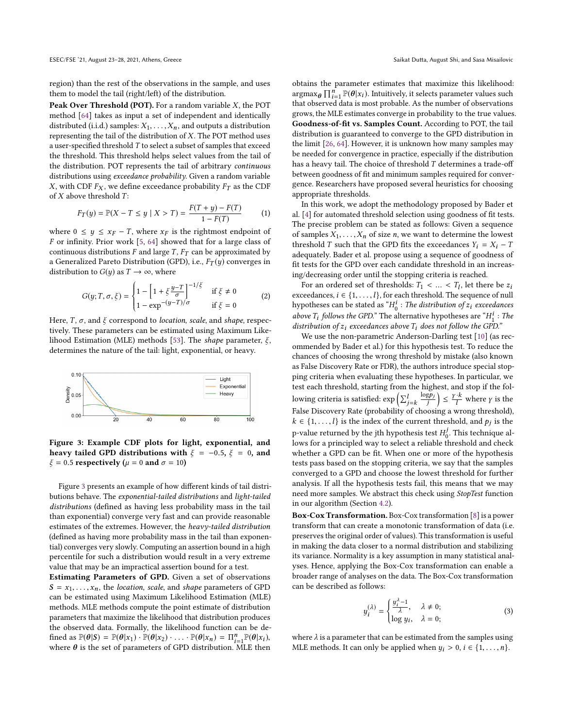region) than the rest of the observations in the sample, and uses them to model the tail (right/left) of the distribution.

Peak Over Threshold (POT). For a random variable X, the POT method [\[64\]](#page-11-8) takes as input a set of independent and identically distributed (i.i.d.) samples:  $X_1, \ldots, X_n$ , and outputs a distribution representing the tail of the distribution of  $X$ . The POT method uses a user-specified threshold  $T$  to select a subset of samples that exceed the threshold. This threshold helps select values from the tail of the distribution. POT represents the tail of arbitrary continuous distributions using exceedance probability. Given a random variable X, with CDF  $F_X$ , we define exceedance probability  $F_T$  as the CDF of  $X$  above threshold  $T$ :

$$
F_T(y) = \mathbb{P}(X - T \le y \mid X > T) = \frac{F(T + y) - F(T)}{1 - F(T)}
$$
(1)

where  $0 \leq y \leq x_F - T$ , where  $x_F$  is the rightmost endpoint of F or infinity. Prior work [\[5,](#page-10-7) [64\]](#page-11-8) showed that for a large class of continuous distributions F and large T,  $F_T$  can be approximated by a Generalized Pareto Distribution (GPD), i.e.,  $F_T(y)$  converges in distribution to  $G(y)$  as  $T \rightarrow \infty$ , where

$$
G(y; T, \sigma, \xi) = \begin{cases} 1 - \left[1 + \xi \frac{y - T}{\sigma}\right]^{-1/\xi} & \text{if } \xi \neq 0\\ 1 - \exp^{-(y - T)/\sigma} & \text{if } \xi = 0 \end{cases}
$$
 (2)

Here, T,  $\sigma$ , and  $\xi$  correspond to *location*, scale, and shape, respectively. These parameters can be estimated using Maximum Like-lihood Estimation (MLE) methods [\[53\]](#page-11-18). The shape parameter,  $\xi$ , determines the nature of the tail: light, exponential, or heavy.

<span id="page-3-0"></span>

Figure 3: Example CDF plots for light, exponential, and heavy tailed GPD distributions with  $\xi = -0.5$ ,  $\xi = 0$ , and  $\xi = 0.5$  respectively ( $\mu = 0$  and  $\sigma = 10$ )

Figure [3](#page-3-0) presents an example of how different kinds of tail distributions behave. The exponential-tailed distributions and light-tailed distributions (defined as having less probability mass in the tail than exponential) converge very fast and can provide reasonable estimates of the extremes. However, the heavy-tailed distribution (defined as having more probability mass in the tail than exponential) converges very slowly. Computing an assertion bound in a high percentile for such a distribution would result in a very extreme value that may be an impractical assertion bound for a test.

Estimating Parameters of GPD. Given a set of observations  $S = x_1, \ldots, x_n$ , the *location*, *scale*, and *shape* parameters of GPD can be estimated using Maximum Likelihood Estimation (MLE) methods. MLE methods compute the point estimate of distribution parameters that maximize the likelihood that distribution produces the observed data. Formally, the likelihood function can be defined as  $\mathbb{P}(\theta | s) = \mathbb{P}(\theta | x_1) \cdot \mathbb{P}(\theta | x_2) \cdot \ldots \cdot \mathbb{P}(\theta | x_n) = \Pi_{i=1}^n \mathbb{P}(\theta | x_i)$ , imed as  $\mathbb{F}(\theta|\mathcal{S}) = \mathbb{F}(\theta|x_1) \cdot \mathbb{F}(\theta|x_2) \cdot \ldots \cdot \mathbb{F}(\theta|x_n) = \prod_{i=1}^n \mathbb{F}(\theta|x_i)$ , where  $\theta$  is the set of parameters of GPD distribution. MLE then

obtains the parameter estimates that maximize this likelihood:  $\argmax_{\theta} \prod_{i=1}^{n} \mathbb{P}(\theta | x_i)$ . Intuitively, it selects parameter values such<br>that observed data is most probable. As the number of observations that observed data is most probable. As the number of observations grows, the MLE estimates converge in probability to the true values. Goodness-of-fit vs. Samples Count. According to POT, the tail distribution is guaranteed to converge to the GPD distribution in the limit [\[26,](#page-11-7) [64\]](#page-11-8). However, it is unknown how many samples may be needed for convergence in practice, especially if the distribution has a heavy tail. The choice of threshold  $T$  determines a trade-off between goodness of fit and minimum samples required for convergence. Researchers have proposed several heuristics for choosing appropriate thresholds.

In this work, we adopt the methodology proposed by Bader et al. [\[4\]](#page-10-5) for automated threshold selection using goodness of fit tests. The precise problem can be stated as follows: Given a sequence of samples  $X_1, \ldots, X_n$  of size *n*, we want to determine the lowest threshold T such that the GPD fits the exceedances  $Y_i = X_i - T$ adequately. Bader et al. propose using a sequence of goodness of fit tests for the GPD over each candidate threshold in an increasing/decreasing order until the stopping criteria is reached.

For an ordered set of thresholds:  $T_1 < ... < T_l$ , let there be  $z_i$ <br>reedances  $i \in I_1$  . It for each threshold. The sequence of pull exceedances,  $i \in \{1, \ldots, l\}$ , for each threshold. The sequence of null hypotheses can be stated as " $H_0^i$ : The distribution of  $z_i$  exceedances above  $T_i$  follows the GPD." The alternative hypotheses are " $H_i^i$ : The distribution of z, exceedences above  $T_i$  does not follow the GPD." distribution of  $z_i$  exceedances above  $T_i$  does not follow the GPD."

We use the non-parametric Anderson-Darling test [\[10\]](#page-10-6) (as recommended by Bader et al.) for this hypothesis test. To reduce the chances of choosing the wrong threshold by mistake (also known as False Discovery Rate or FDR), the authors introduce special stopping criteria when evaluating these hypotheses. In particular, we test each threshold, starting from the highest, and stop if the following criteria is satisfied:  $\exp\left(\sum_{j=k}^{l}\right)$  $\frac{\log p_j}{i}$ .  $\left|\leq \frac{\gamma\cdot k}{l}\right|$ l where  $\gamma$  is the False Discovery Rate (probability of choosing a wrong threshold),  $k \in \{1, ..., l\}$  is the index of the current threshold, and  $p_j$  is the p-value returned by the jth hypothesis test  $H_0^j$ . This technique allows for a principled way to select a reliable threshold and check whether a GPD can be fit. When one or more of the hypothesis tests pass based on the stopping criteria, we say that the samples converged to a GPD and choose the lowest threshold for further analysis. If all the hypothesis tests fail, this means that we may need more samples. We abstract this check using StopTest function in our algorithm (Section [4.2\)](#page-4-0).

Box-Cox Transformation. Box-Cox transformation [\[8\]](#page-10-8) is a power transform that can create a monotonic transformation of data (i.e. preserves the original order of values). This transformation is useful in making the data closer to a normal distribution and stabilizing its variance. Normality is a key assumption in many statistical analyses. Hence, applying the Box-Cox transformation can enable a broader range of analyses on the data. The Box-Cox transformation can be described as follows:

$$
y_i^{(\lambda)} = \begin{cases} \frac{y_i^{\lambda} - 1}{\lambda}, & \lambda \neq 0; \\ \log y_i, & \lambda = 0; \end{cases}
$$
 (3)

where  $\lambda$  is a parameter that can be estimated from the samples using MLE methods. It can only be applied when  $y_i > 0$ ,  $i \in \{1, \ldots, n\}$ .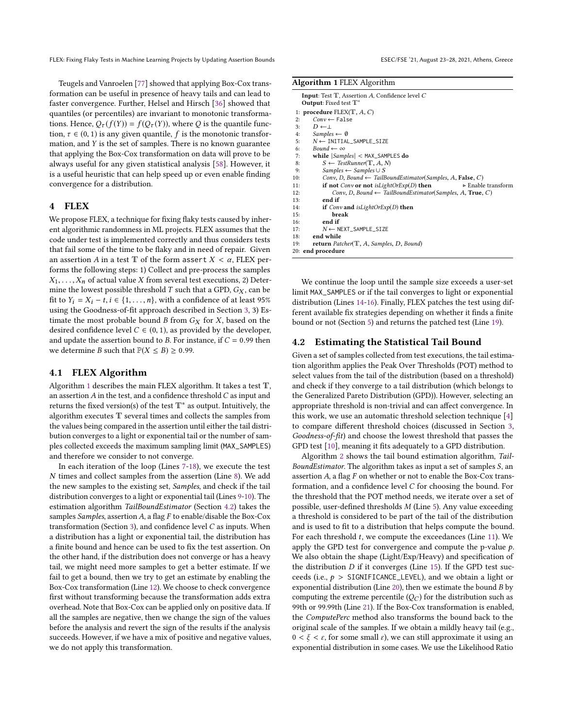Teugels and Vanroelen [\[77\]](#page-11-19) showed that applying Box-Cox transformation can be useful in presence of heavy tails and can lead to faster convergence. Further, Helsel and Hirsch [\[36\]](#page-11-20) showed that quantiles (or percentiles) are invariant to monotonic transformations. Hence,  $Q_{\tau}(f(Y)) = f(Q_{\tau}(Y))$ , where Q is the quantile function,  $\tau \in (0, 1)$  is any given quantile, f is the monotonic transformation, and Y is the set of samples. There is no known guarantee that applying the Box-Cox transformation on data will prove to be always useful for any given statistical analysis [\[58\]](#page-11-21). However, it is a useful heuristic that can help speed up or even enable finding convergence for a distribution.

# 4 FLEX

We propose FLEX, a technique for fixing flaky tests caused by inherent algorithmic randomness in ML projects. FLEX assumes that the code under test is implemented correctly and thus considers tests that fail some of the time to be flaky and in need of repair. Given an assertion A in a test  $\mathbb T$  of the form assert  $X < \alpha$ , FLEX performs the following steps: 1) Collect and pre-process the samples  $X_1, \ldots, X_n$  of actual value X from several test executions, 2) Determine the lowest possible threshold  $T$  such that a GPD,  $G_X$ , can be fit to  $Y_i = X_i - t, i \in \{1, ..., n\}$ , with a confidence of at least 95% using the Goodness-of-fit approach described in Section [3,](#page-2-8) 3) Estimate the most probable bound B from  $G_X$  for X, based on the desired confidence level  $C \in (0, 1)$ , as provided by the developer, and update the assertion bound to B. For instance, if  $C = 0.99$  then we determine *B* such that  $P(X \le B) \ge 0.99$ .

## 4.1 FLEX Algorithm

Algorithm [1](#page-4-1) describes the main FLEX algorithm. It takes a test  $T$ , an assertion  $A$  in the test, and a confidence threshold  $C$  as input and returns the fixed version(s) of the test T∗ as output. Intuitively, the algorithm executes T several times and collects the samples from the values being compared in the assertion until either the tail distribution converges to a light or exponential tail or the number of samples collected exceeds the maximum sampling limit (MAX\_SAMPLES) and therefore we consider to not converge.

In each iteration of the loop (Lines [7-18\)](#page-4-1), we execute the test N times and collect samples from the assertion (Line [8\)](#page-4-1). We add the new samples to the existing set, Samples, and check if the tail distribution converges to a light or exponential tail (Lines [9-10\)](#page-4-1). The estimation algorithm TailBoundEstimator (Section [4.2\)](#page-4-0) takes the samples Samples, assertion  $A$ , a flag  $F$  to enable/disable the Box-Cox transformation (Section [3\)](#page-2-8), and confidence level  $C$  as inputs. When a distribution has a light or exponential tail, the distribution has a finite bound and hence can be used to fix the test assertion. On the other hand, if the distribution does not converge or has a heavy tail, we might need more samples to get a better estimate. If we fail to get a bound, then we try to get an estimate by enabling the Box-Cox transformation (Line [12\)](#page-4-1). We choose to check convergence first without transforming because the transformation adds extra overhead. Note that Box-Cox can be applied only on positive data. If all the samples are negative, then we change the sign of the values before the analysis and revert the sign of the results if the analysis succeeds. However, if we have a mix of positive and negative values, we do not apply this transformation.

<span id="page-4-1"></span>

| Algorithm 1 FLEX Algorithm |  |  |
|----------------------------|--|--|
|                            |  |  |

| <b>Input:</b> Test $T$ , Assertion A, Confidence level $C$<br>Output: Fixed test T* |  |  |  |  |  |  |  |
|-------------------------------------------------------------------------------------|--|--|--|--|--|--|--|
| 1: procedure FLEX(T, $A, C$ )                                                       |  |  |  |  |  |  |  |
| $Conv \leftarrow False$<br>2:                                                       |  |  |  |  |  |  |  |
| $D \leftarrow \perp$<br>3:                                                          |  |  |  |  |  |  |  |
| Samples $\leftarrow \emptyset$<br>4:                                                |  |  |  |  |  |  |  |
| $N \leftarrow \text{INITIAL\_ SAMPLE\_SIZE}$<br>5:                                  |  |  |  |  |  |  |  |
| Bound $\leftarrow \infty$<br>6:                                                     |  |  |  |  |  |  |  |
| while $ Samples  <$ MAX_SAMPLES do<br>7:                                            |  |  |  |  |  |  |  |
| $S \leftarrow \text{TestRunner}(\mathbb{T}, A, N)$<br>8:                            |  |  |  |  |  |  |  |
| $Samples \leftarrow Samples \cup S$<br>9:                                           |  |  |  |  |  |  |  |
| Conv, D, Bound $\leftarrow$ TailBoundEstimator(Samples, A, False, C)<br>10:         |  |  |  |  |  |  |  |
| if not Conv or not is LightOrExp $(D)$ then<br>► Enable transform<br>11:            |  |  |  |  |  |  |  |
| Conv, D, Bound $\leftarrow$ TailBoundEstimator(Samples, A, True, C)<br>12:          |  |  |  |  |  |  |  |
| end if<br>13:                                                                       |  |  |  |  |  |  |  |
| if Conv and isLightOrExp(D) then<br>14:                                             |  |  |  |  |  |  |  |
| break<br>15:                                                                        |  |  |  |  |  |  |  |
| end if<br>16:                                                                       |  |  |  |  |  |  |  |
| 17:<br>$N \leftarrow$ NEXT_SAMPLE_SIZE                                              |  |  |  |  |  |  |  |
| end while<br>18:                                                                    |  |  |  |  |  |  |  |
| return Patcher( $T$ , A, Samples, D, Bound)<br>19:                                  |  |  |  |  |  |  |  |
| 20: end procedure                                                                   |  |  |  |  |  |  |  |
|                                                                                     |  |  |  |  |  |  |  |

We continue the loop until the sample size exceeds a user-set limit MAX\_SAMPLES or if the tail converges to light or exponential distribution (Lines [14-16\)](#page-4-1). Finally, FLEX patches the test using different available fix strategies depending on whether it finds a finite bound or not (Section [5\)](#page-5-0) and returns the patched test (Line [19\)](#page-4-1).

#### <span id="page-4-0"></span>4.2 Estimating the Statistical Tail Bound

Given a set of samples collected from test executions, the tail estimation algorithm applies the Peak Over Thresholds (POT) method to select values from the tail of the distribution (based on a threshold) and check if they converge to a tail distribution (which belongs to the Generalized Pareto Distribution (GPD)). However, selecting an appropriate threshold is non-trivial and can affect convergence. In this work, we use an automatic threshold selection technique [\[4\]](#page-10-5) to compare different threshold choices (discussed in Section [3,](#page-2-8) Goodness-of-fit) and choose the lowest threshold that passes the GPD test [\[10\]](#page-10-6), meaning it fits adequately to a GPD distribution.

Algorithm [2](#page-5-1) shows the tail bound estimation algorithm, Tail-BoundEstimator. The algorithm takes as input a set of samples S, an assertion A, a flag F on whether or not to enable the Box-Cox transformation, and a confidence level C for choosing the bound. For the threshold that the POT method needs, we iterate over a set of possible, user-defined thresholds M (Line [5\)](#page-5-1). Any value exceeding a threshold is considered to be part of the tail of the distribution and is used to fit to a distribution that helps compute the bound. For each threshold  $t$ , we compute the exceedances (Line [11\)](#page-5-1). We apply the GPD test for convergence and compute the p-value  $p$ . We also obtain the shape (Light/Exp/Heavy) and specification of the distribution  $D$  if it converges (Line [15\)](#page-5-1). If the GPD test succeeds (i.e.,  $p >$  SIGNIFICANCE\_LEVEL), and we obtain a light or exponential distribution (Line [20\)](#page-5-1), then we estimate the bound B by computing the extreme percentile  $(Q_C)$  for the distribution such as 99th or 99.99th (Line [21\)](#page-5-1). If the Box-Cox transformation is enabled, the ComputePerc method also transforms the bound back to the original scale of the samples. If we obtain a mildly heavy tail (e.g.,  $0 < \xi < \varepsilon$ , for some small  $\varepsilon$ ), we can still approximate it using an exponential distribution in some cases. We use the Likelihood Ratio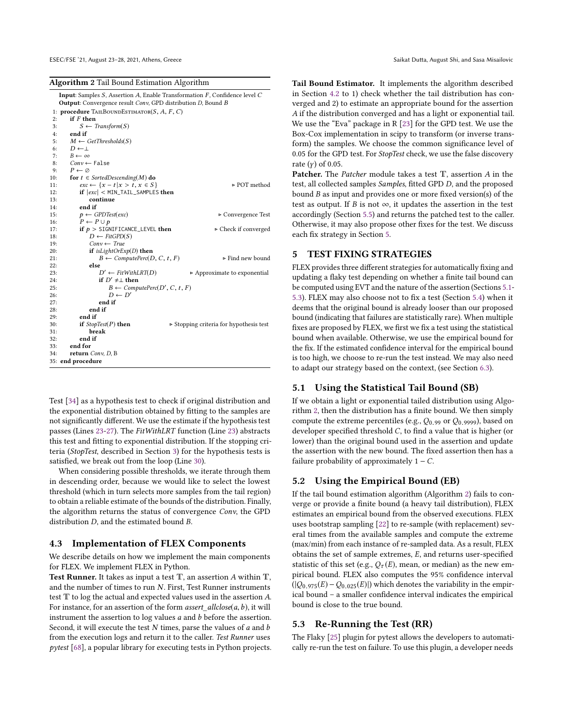<span id="page-5-1"></span>Algorithm 2 Tail Bound Estimation Algorithm

|     | <b>Input:</b> Samples S, Assertion A, Enable Transformation F, Confidence level C<br><b>Output:</b> Convergence result Conv, GPD distribution D, Bound B |                                                        |  |  |  |  |  |  |
|-----|----------------------------------------------------------------------------------------------------------------------------------------------------------|--------------------------------------------------------|--|--|--|--|--|--|
|     | 1: procedure TAILBOUNDESTIMATOR(S, A, F, C)                                                                                                              |                                                        |  |  |  |  |  |  |
| 2:  | if F then                                                                                                                                                |                                                        |  |  |  |  |  |  |
| 3:  | $S \leftarrow$ Transform(S)                                                                                                                              |                                                        |  |  |  |  |  |  |
| 4:  | end if                                                                                                                                                   |                                                        |  |  |  |  |  |  |
| 5:  | $M \leftarrow GetThresholds(S)$                                                                                                                          |                                                        |  |  |  |  |  |  |
| 6:  | $D \leftarrow \perp$                                                                                                                                     |                                                        |  |  |  |  |  |  |
| 7:  | $B \leftarrow \infty$                                                                                                                                    |                                                        |  |  |  |  |  |  |
| 8:  | $Conv \leftarrow$ False                                                                                                                                  |                                                        |  |  |  |  |  |  |
| 9:  | $P \leftarrow \emptyset$                                                                                                                                 |                                                        |  |  |  |  |  |  |
| 10: | for $t \in SortedDescending(M)$ do                                                                                                                       |                                                        |  |  |  |  |  |  |
| 11: | $exc \leftarrow \{x - t   x > t, x \in S\}$                                                                                                              | ► POT method                                           |  |  |  |  |  |  |
| 12: | $if$ $ exc $ < MIN_TAIL_SAMPLES then                                                                                                                     |                                                        |  |  |  |  |  |  |
| 13: | continue                                                                                                                                                 |                                                        |  |  |  |  |  |  |
| 14: | end if                                                                                                                                                   |                                                        |  |  |  |  |  |  |
| 15: | $p \leftarrow$ GPDTest(exc)                                                                                                                              | $\triangleright$ Convergence Test                      |  |  |  |  |  |  |
| 16: | $P \leftarrow P \cup p$                                                                                                                                  |                                                        |  |  |  |  |  |  |
| 17: | if $p >$ SIGNIFICANCE_LEVEL then                                                                                                                         | ► Check if converged                                   |  |  |  |  |  |  |
| 18: | $D \leftarrow \text{FitGPD}(S)$                                                                                                                          |                                                        |  |  |  |  |  |  |
| 19: | $Conv \leftarrow True$                                                                                                                                   |                                                        |  |  |  |  |  |  |
| 20: | if isLightOrEx $p(D)$ then                                                                                                                               |                                                        |  |  |  |  |  |  |
| 21: | $B \leftarrow ComputePer(D, C, t, F)$                                                                                                                    | ⊳ Find new bound                                       |  |  |  |  |  |  |
| 22: | else                                                                                                                                                     |                                                        |  |  |  |  |  |  |
| 23: | $D' \leftarrow FitWithLRT(D)$                                                                                                                            | Approximate to exponential                             |  |  |  |  |  |  |
| 24: | if $D' \neq \perp$ then                                                                                                                                  |                                                        |  |  |  |  |  |  |
| 25: | $B \leftarrow ComputePer(C)$ , C, t, F)                                                                                                                  |                                                        |  |  |  |  |  |  |
| 26: | $D \leftarrow D'$                                                                                                                                        |                                                        |  |  |  |  |  |  |
| 27: | end if                                                                                                                                                   |                                                        |  |  |  |  |  |  |
| 28: | end if                                                                                                                                                   |                                                        |  |  |  |  |  |  |
| 29: | end if                                                                                                                                                   |                                                        |  |  |  |  |  |  |
| 30: | if $StopTest(P)$ then                                                                                                                                    | $\triangleright$ Stopping criteria for hypothesis test |  |  |  |  |  |  |
| 31: | break                                                                                                                                                    |                                                        |  |  |  |  |  |  |
| 32: | end if                                                                                                                                                   |                                                        |  |  |  |  |  |  |
| 33: | end for                                                                                                                                                  |                                                        |  |  |  |  |  |  |
| 34: | return $Conv, D, B$                                                                                                                                      |                                                        |  |  |  |  |  |  |
|     | 35: end procedure                                                                                                                                        |                                                        |  |  |  |  |  |  |
|     |                                                                                                                                                          |                                                        |  |  |  |  |  |  |

Test [\[34\]](#page-11-22) as a hypothesis test to check if original distribution and the exponential distribution obtained by fitting to the samples are not significantly different. We use the estimate if the hypothesis test passes (Lines [23-27\)](#page-5-1). The FitWithLRT function (Line [23\)](#page-5-1) abstracts this test and fitting to exponential distribution. If the stopping criteria (StopTest, described in Section [3\)](#page-2-8) for the hypothesis tests is satisfied, we break out from the loop (Line [30\)](#page-5-1).

When considering possible thresholds, we iterate through them in descending order, because we would like to select the lowest threshold (which in turn selects more samples from the tail region) to obtain a reliable estimate of the bounds of the distribution. Finally, the algorithm returns the status of convergence Conv, the GPD distribution D, and the estimated bound B.

## 4.3 Implementation of FLEX Components

We describe details on how we implement the main components for FLEX. We implement FLEX in Python.

Test Runner. It takes as input a test  $T$ , an assertion A within  $T$ , and the number of times to run N. First, Test Runner instruments test T to log the actual and expected values used in the assertion A. For instance, for an assertion of the form  $assert\_allclose(a, b)$ , it will instrument the assertion to  $log$  values  $a$  and  $b$  before the assertion. Second, it will execute the test  $N$  times, parse the values of  $a$  and  $b$ from the execution logs and return it to the caller. Test Runner uses pytest [\[68\]](#page-11-23), a popular library for executing tests in Python projects. Tail Bound Estimator. It implements the algorithm described in Section [4.2](#page-4-0) to 1) check whether the tail distribution has converged and 2) to estimate an appropriate bound for the assertion A if the distribution converged and has a light or exponential tail. We use the "Eva" package in R [\[23\]](#page-11-24) for the GPD test. We use the Box-Cox implementation in scipy to transform (or inverse transform) the samples. We choose the common significance level of 0.05 for the GPD test. For StopTest check, we use the false discovery rate  $(y)$  of 0.05.

Patcher. The *Patcher* module takes a test T, assertion A in the test, all collected samples Samples, fitted GPD D, and the proposed bound B as input and provides one or more fixed version(s) of the test as output. If B is not  $\infty$ , it updates the assertion in the test accordingly (Section [5.5\)](#page-6-0) and returns the patched test to the caller. Otherwise, it may also propose other fixes for the test. We discuss each fix strategy in Section [5.](#page-5-0)

#### <span id="page-5-0"></span>5 TEST FIXING STRATEGIES

FLEX provides three different strategies for automatically fixing and updating a flaky test depending on whether a finite tail bound can be computed using EVT and the nature of the assertion (Sections [5.1-](#page-5-2) [5.3\)](#page-5-3). FLEX may also choose not to fix a test (Section [5.4\)](#page-6-1) when it deems that the original bound is already looser than our proposed bound (indicating that failures are statistically rare). When multiple fixes are proposed by FLEX, we first we fix a test using the statistical bound when available. Otherwise, we use the empirical bound for the fix. If the estimated confidence interval for the empirical bound is too high, we choose to re-run the test instead. We may also need to adapt our strategy based on the context, (see Section [6.3\)](#page-7-1).

# <span id="page-5-2"></span>5.1 Using the Statistical Tail Bound (SB)

If we obtain a light or exponential tailed distribution using Algorithm [2,](#page-5-1) then the distribution has a finite bound. We then simply compute the extreme percentiles (e.g.,  $Q_{0.99}$  or  $Q_{0.9999}$ ), based on developer specified threshold C, to find a value that is higher (or lower) than the original bound used in the assertion and update the assertion with the new bound. The fixed assertion then has a failure probability of approximately  $1 - C$ .

## 5.2 Using the Empirical Bound (EB)

If the tail bound estimation algorithm (Algorithm [2\)](#page-5-1) fails to converge or provide a finite bound (a heavy tail distribution), FLEX estimates an empirical bound from the observed executions. FLEX uses bootstrap sampling [\[22\]](#page-11-9) to re-sample (with replacement) several times from the available samples and compute the extreme (max/min) from each instance of re-sampled data. As a result, FLEX obtains the set of sample extremes, E, and returns user-specified statistic of this set (e.g.,  $Q_{\tau}(E)$ , mean, or median) as the new empirical bound. FLEX also computes the 95% confidence interval  $(|Q_{0.975}(E) - Q_{0.025}(E)|)$  which denotes the variability in the empirical bound – a smaller confidence interval indicates the empirical bound is close to the true bound.

# <span id="page-5-3"></span>5.3 Re-Running the Test (RR)

The Flaky [\[25\]](#page-11-10) plugin for pytest allows the developers to automatically re-run the test on failure. To use this plugin, a developer needs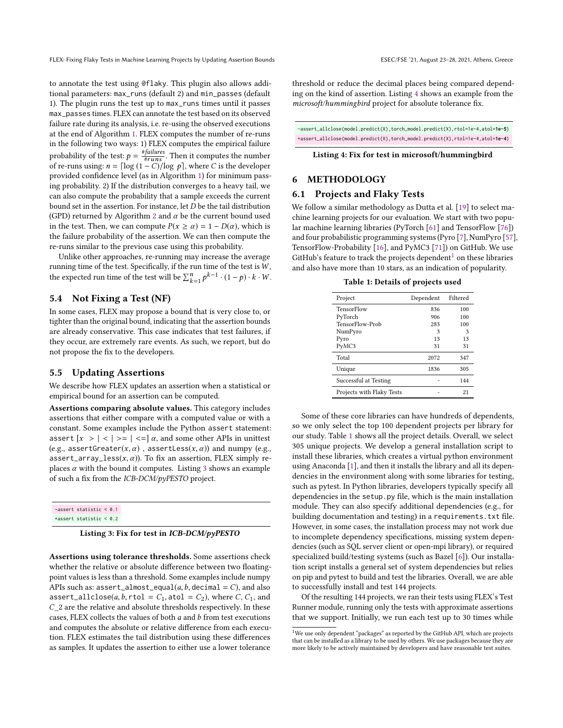to annotate the test using @flaky. This plugin also allows additional parameters: max\_runs (default 2) and min\_passes (default 1). The plugin runs the test up to max\_runs times until it passes max\_passes times. FLEX can annotate the test based on its observed failure rate during its analysis, i.e. re-using the observed executions at the end of Algorithm [1.](#page-4-1) FLEX computes the number of re-runs in the following two ways: 1) FLEX computes the empirical failure probability of the test:  $p = \frac{\# failures}{\#runs}$ . Then it computes the number of re-runs using:  $n = \lceil \log{(1 - C)} / \log{p} \rceil$ , where C is the developer provided confidence level (as in Algorithm [1\)](#page-4-1) for minimum passing probability. 2) If the distribution converges to a heavy tail, we can also compute the probability that a sample exceeds the current bound set in the assertion. For instance, let D be the tail distribution (GPD) returned by Algorithm [2](#page-5-1) and  $\alpha$  be the current bound used in the test. Then, we can compute  $P(x \ge \alpha) = 1 - D(\alpha)$ , which is the failure probability of the assertion. We can then compute the re-runs similar to the previous case using this probability.

Unlike other approaches, re-running may increase the average running time of the test. Specifically, if the run time of the test is  $W,$ the expected run time of the test will be  $\sum_{k=1}^{n} p^{k-1} \cdot (1-p) \cdot k \cdot W$ .

## <span id="page-6-1"></span>5.4 Not Fixing a Test (NF)

In some cases, FLEX may propose a bound that is very close to, or tighter than the original bound, indicating that the assertion bounds are already conservative. This case indicates that test failures, if they occur, are extremely rare events. As such, we report, but do not propose the fix to the developers.

## <span id="page-6-0"></span>5.5 Updating Assertions

We describe how FLEX updates an assertion when a statistical or empirical bound for an assertion can be computed.

Assertions comparing absolute values. This category includes assertions that either compare with a computed value or with a constant. Some examples include the Python assert statement: assert  $[x > | < | > = | < =] \alpha$ , and some other APIs in unittest (e.g., assertGreater( $x, \alpha$ ), assertLess( $x, \alpha$ )) and numpy (e.g., assert\_array\_less $(x, \alpha)$ ). To fix an assertion, FLEX simply replaces  $\alpha$  with the bound it computes. Listing [3](#page-6-2) shows an example of such a fix from the ICB-DCM/pyPESTO project.

<span id="page-6-2"></span>

| $-assert$ statistic $\leq \theta.1$ |
|-------------------------------------|
| $\text{tasset static} < 0.2$        |
|                                     |

#### Listing 3: Fix for test in ICB-DCM/pyPESTO

Assertions using tolerance thresholds. Some assertions check whether the relative or absolute difference between two floatingpoint values is less than a threshold. Some examples include numpy APIs such as: assert\_almost\_equal( $a, b$ , decimal =  $C$ ), and also assert\_allclose(a, b, rtol =  $C_1$ , atol =  $C_2$ ), where C,  $C_1$ , and  $C_2$  are the relative and absolute thresholds respectively. In these cases, FLEX collects the values of both  $a$  and  $b$  from test executions and computes the absolute or relative difference from each execution. FLEX estimates the tail distribution using these differences as samples. It updates the assertion to either use a lower tolerance

threshold or reduce the decimal places being compared depending on the kind of assertion. Listing [4](#page-6-3) shows an example from the microsoft/hummingbird project for absolute tolerance fix.

<span id="page-6-3"></span>-assert\_allclose(model.predict(X),torch\_model.predict(X),rtol=1e-4,atol=**1e-5**) +assert\_allclose(model.predict(X),torch\_model.predict(X),rtol=1e-4,atol=**1e-4**)

#### Listing 4: Fix for test in microsoft/hummingbird

# 6 METHODOLOGY

#### <span id="page-6-6"></span>6.1 Projects and Flaky Tests

We follow a similar methodology as Dutta et al. [\[19\]](#page-10-1) to select machine learning projects for our evaluation. We start with two popular machine learning libraries (PyTorch [\[61\]](#page-11-11) and TensorFlow [\[76\]](#page-11-12)) and four probabilistic programming systems (Pyro [\[7\]](#page-10-4), NumPyro [\[57\]](#page-11-14), TensorFlow-Probability [\[16\]](#page-10-3), and PyMC3 [\[71\]](#page-11-13)) on GitHub. We use GitHub's feature to track the projects dependent<sup>[1](#page-6-4)</sup> on these libraries and also have more than 10 stars, as an indication of popularity.

Table 1: Details of projects used

<span id="page-6-5"></span>

| Project                   | Dependent | Filtered |
|---------------------------|-----------|----------|
| TensorFlow                | 836       | 100      |
| PyTorch                   | 906       | 100      |
| TensorFlow-Prob           | 283       | 100      |
| NumPyro                   | 3         | 3        |
| Pyro                      | 13        | 13       |
| PyMC3                     | 31        | 31       |
| Total                     | 2072      | 347      |
| Unique                    | 1836      | 305      |
| Successful at Testing     |           | 144      |
| Projects with Flaky Tests |           | 21       |

Some of these core libraries can have hundreds of dependents, so we only select the top 100 dependent projects per library for our study. Table [1](#page-6-5) shows all the project details. Overall, we select 305 unique projects. We develop a general installation script to install these libraries, which creates a virtual python environment using Anaconda [\[1\]](#page-10-9), and then it installs the library and all its dependencies in the environment along with some libraries for testing, such as pytest. In Python libraries, developers typically specify all dependencies in the setup.py file, which is the main installation module. They can also specify additional dependencies (e.g., for building documentation and testing) in a requirements.txt file. However, in some cases, the installation process may not work due to incomplete dependency specifications, missing system dependencies (such as SQL server client or open-mpi library), or required specialized build/testing systems (such as Bazel [\[6\]](#page-10-10)). Our installation script installs a general set of system dependencies but relies on pip and pytest to build and test the libraries. Overall, we are able to successfully install and test 144 projects.

Of the resulting 144 projects, we ran their tests using FLEX's Test Runner module, running only the tests with approximate assertions that we support. Initially, we run each test up to 30 times while

<span id="page-6-4"></span> $1$ We use only dependent "packages" as reported by the GitHub API, which are projects that can be installed as a library to be used by others. We use packages because they are more likely to be actively maintained by developers and have reasonable test suites.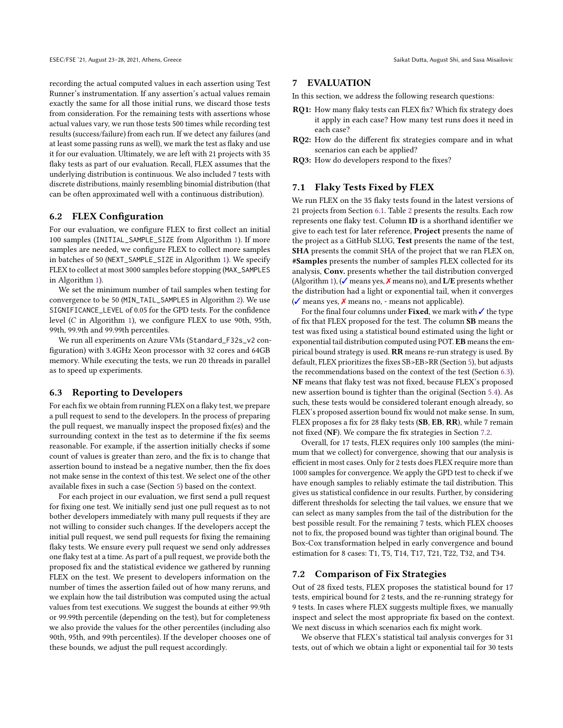recording the actual computed values in each assertion using Test Runner's instrumentation. If any assertion's actual values remain exactly the same for all those initial runs, we discard those tests from consideration. For the remaining tests with assertions whose actual values vary, we run those tests 500 times while recording test results (success/failure) from each run. If we detect any failures (and at least some passing runs as well), we mark the test as flaky and use it for our evaluation. Ultimately, we are left with 21 projects with 35 flaky tests as part of our evaluation. Recall, FLEX assumes that the underlying distribution is continuous. We also included 7 tests with discrete distributions, mainly resembling binomial distribution (that can be often approximated well with a continuous distribution).

## 6.2 FLEX Configuration

For our evaluation, we configure FLEX to first collect an initial 100 samples (INITIAL\_SAMPLE\_SIZE from Algorithm [1\)](#page-4-1). If more samples are needed, we configure FLEX to collect more samples in batches of 50 (NEXT\_SAMPLE\_SIZE in Algorithm [1\)](#page-4-1). We specify FLEX to collect at most 3000 samples before stopping (MAX\_SAMPLES in Algorithm [1\)](#page-4-1).

We set the minimum number of tail samples when testing for convergence to be 50 (MIN\_TAIL\_SAMPLES in Algorithm [2\)](#page-5-1). We use SIGNIFICANCE\_LEVEL of 0.05 for the GPD tests. For the confidence level (C in Algorithm [1\)](#page-4-1), we configure FLEX to use 90th, 95th, 99th, 99.9th and 99.99th percentiles.

We run all experiments on Azure VMs (Standard\_F32s\_v2 configuration) with 3.4GHz Xeon processor with 32 cores and 64GB memory. While executing the tests, we run 20 threads in parallel as to speed up experiments.

## <span id="page-7-1"></span>6.3 Reporting to Developers

For each fix we obtain from running FLEX on a flaky test, we prepare a pull request to send to the developers. In the process of preparing the pull request, we manually inspect the proposed fix(es) and the surrounding context in the test as to determine if the fix seems reasonable. For example, if the assertion initially checks if some count of values is greater than zero, and the fix is to change that assertion bound to instead be a negative number, then the fix does not make sense in the context of this test. We select one of the other available fixes in such a case (Section [5\)](#page-5-0) based on the context.

For each project in our evaluation, we first send a pull request for fixing one test. We initially send just one pull request as to not bother developers immediately with many pull requests if they are not willing to consider such changes. If the developers accept the initial pull request, we send pull requests for fixing the remaining flaky tests. We ensure every pull request we send only addresses one flaky test at a time. As part of a pull request, we provide both the proposed fix and the statistical evidence we gathered by running FLEX on the test. We present to developers information on the number of times the assertion failed out of how many reruns, and we explain how the tail distribution was computed using the actual values from test executions. We suggest the bounds at either 99.9th or 99.99th percentile (depending on the test), but for completeness we also provide the values for the other percentiles (including also 90th, 95th, and 99th percentiles). If the developer chooses one of these bounds, we adjust the pull request accordingly.

## 7 EVALUATION

In this section, we address the following research questions:

- RQ1: How many flaky tests can FLEX fix? Which fix strategy does it apply in each case? How many test runs does it need in each case?
- RQ2: How do the different fix strategies compare and in what scenarios can each be applied?
- RQ3: How do developers respond to the fixes?

# <span id="page-7-0"></span>7.1 Flaky Tests Fixed by FLEX

We run FLEX on the 35 flaky tests found in the latest versions of 21 projects from Section [6.1.](#page-6-6) Table [2](#page-8-0) presents the results. Each row represents one flaky test. Column ID is a shorthand identifier we give to each test for later reference, Project presents the name of the project as a GitHub SLUG, Test presents the name of the test, SHA presents the commit SHA of the project that we ran FLEX on, #Samples presents the number of samples FLEX collected for its analysis, Conv. presents whether the tail distribution converged (Algorithm [1\)](#page-4-1), ( $\checkmark$  means yes,  $\checkmark$  means no), and L/E presents whether the distribution had a light or exponential tail, when it converges (✓ means yes, ✗ means no, - means not applicable).

For the final four columns under Fixed, we mark with  $\checkmark$  the type of fix that FLEX proposed for the test. The column SB means the test was fixed using a statistical bound estimated using the light or exponential tail distribution computed using POT. EB means the empirical bound strategy is used. RR means re-run strategy is used. By default, FLEX prioritizes the fixes SB>EB>RR (Section [5\)](#page-5-0), but adjusts the recommendations based on the context of the test (Section [6.3\)](#page-7-1). NF means that flaky test was not fixed, because FLEX's proposed new assertion bound is tighter than the original (Section [5.4\)](#page-6-1). As such, these tests would be considered tolerant enough already, so FLEX's proposed assertion bound fix would not make sense. In sum, FLEX proposes a fix for 28 flaky tests (SB, EB, RR), while 7 remain not fixed (NF). We compare the fix strategies in Section [7.2.](#page-7-2)

Overall, for 17 tests, FLEX requires only 100 samples (the minimum that we collect) for convergence, showing that our analysis is efficient in most cases. Only for 2 tests does FLEX require more than 1000 samples for convergence. We apply the GPD test to check if we have enough samples to reliably estimate the tail distribution. This gives us statistical confidence in our results. Further, by considering different thresholds for selecting the tail values, we ensure that we can select as many samples from the tail of the distribution for the best possible result. For the remaining 7 tests, which FLEX chooses not to fix, the proposed bound was tighter than original bound. The Box-Cox transformation helped in early convergence and bound estimation for 8 cases: T1, T5, T14, T17, T21, T22, T32, and T34.

#### <span id="page-7-2"></span>7.2 Comparison of Fix Strategies

Out of 28 fixed tests, FLEX proposes the statistical bound for 17 tests, empirical bound for 2 tests, and the re-running strategy for 9 tests. In cases where FLEX suggests multiple fixes, we manually inspect and select the most appropriate fix based on the context. We next discuss in which scenarios each fix might work.

We observe that FLEX's statistical tail analysis converges for 31 tests, out of which we obtain a light or exponential tail for 30 tests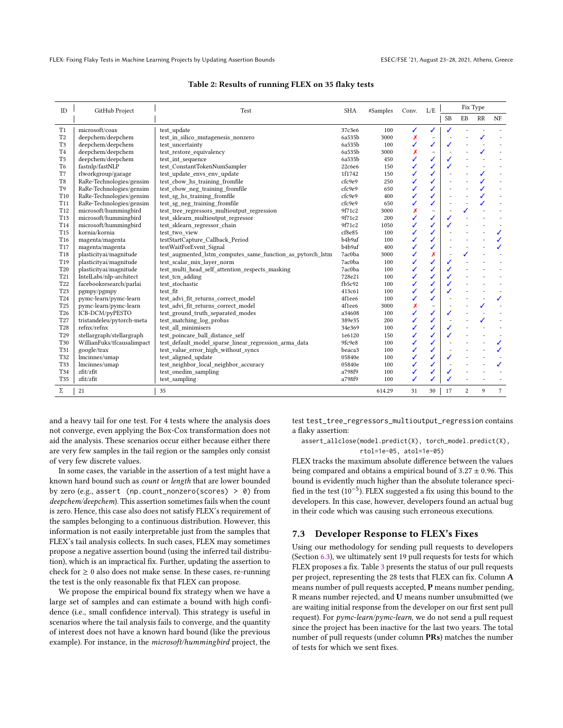<span id="page-8-0"></span>

| ID              | GitHub Project<br>Test     |                                                            | <b>SHA</b>                      | #Samples | Conv. | L/E                      |           |                | Fix Type     |                |
|-----------------|----------------------------|------------------------------------------------------------|---------------------------------|----------|-------|--------------------------|-----------|----------------|--------------|----------------|
|                 |                            |                                                            |                                 |          |       |                          | <b>SB</b> | EB             | RR           | NF             |
| T1              | microsoft/coax             | test update                                                | 37c3e6                          | 100      | ✓     | ✓                        | ✓         |                |              |                |
| T <sub>2</sub>  | deepchem/deepchem          | test in silico mutagenesis nonzero                         | 6a535b                          | 3000     | X     | $\overline{\phantom{0}}$ |           |                |              |                |
| T <sub>3</sub>  | deepchem/deepchem          | test uncertainty                                           | 6a535b                          | 100      | ✓     | ✓                        | ✓         |                |              |                |
| T <sub>4</sub>  | deepchem/deepchem          | test restore equivalency                                   | 6a535b                          | 3000     | Х     | -                        |           |                |              |                |
| T <sub>5</sub>  | deepchem/deepchem          | test int sequence                                          | 6a535b                          | 450      | ✓     | ✓                        |           |                |              |                |
| T <sub>6</sub>  | fastnlp/fastNLP            | test ConstantTokenNumSampler                               | 22c6e6                          | 150      | ✓     | ✓                        |           |                |              |                |
| T7              | rlworkgroup/garage         | test update envs env update                                | 1f1742                          | 150      | ✓     | ✓                        |           |                |              |                |
| T <sub>8</sub>  | RaRe-Technologies/gensim   | test_cbow_hs_training_fromfile                             | cfc9e9                          | 250      | ✓     | ✓                        |           |                |              |                |
| T <sub>9</sub>  | RaRe-Technologies/gensim   | test cbow neg training fromfile                            | cfc9e9                          | 650      | ✓     | ✓                        |           |                |              |                |
| T <sub>10</sub> | RaRe-Technologies/gensim   | test sg hs training fromfile                               | cfc9e9                          | 400      | ✓     | ✓                        |           |                |              |                |
| T <sub>11</sub> | RaRe-Technologies/gensim   | test sg neg training fromfile                              | cfc9e9                          | 650      | ✓     | ✓                        |           |                |              |                |
| T <sub>12</sub> | microsoft/hummingbird      | test tree regressors multioutput regression                | 9f71c2                          | 3000     | X     |                          |           |                |              |                |
| T <sub>13</sub> | microsoft/hummingbird      | test sklearn multioutput regressor                         | 9f71c2                          | 200      |       | ✓                        |           |                |              |                |
| T14             | microsoft/hummingbird      | test sklearn regressor chain                               | 9f71c2                          | 1050     |       | ✓                        |           |                |              |                |
| T <sub>15</sub> | kornia/kornia              | test two view                                              | cf8e85                          | 100      | ✓     | ✓                        |           |                |              | ✓              |
| T <sub>16</sub> | magenta/magenta            | testStartCapture Callback Period                           | b <sub>4</sub> b <sub>9af</sub> | 100      | ✓     | ✓                        |           |                |              | ✓              |
| T17             | magenta/magenta            | testWaitForEvent Signal                                    | b <sub>4</sub> b <sub>9af</sub> | 400      | ✓     | ✓                        |           |                |              | ✓              |
| T <sub>18</sub> | plasticityai/magnitude     | test augmented lstm computes same function as pytorch lstm | 7ac0ba                          | 3000     | ✓     | x                        |           | ✓              |              |                |
| T <sub>19</sub> | plasticityai/magnitude     | test scalar mix layer norm                                 | 7ac0ba                          | 100      | ✓     | ✓                        |           |                |              |                |
| T20             | plasticityai/magnitude     | test_multi_head_self_attention_respects_masking            | 7ac0ba                          | 100      | ✓     | ✓                        |           |                |              |                |
| T <sub>21</sub> | IntelLabs/nlp-architect    | test tcn adding                                            | 728e21                          | 100      | ✓     | ✓                        |           |                |              |                |
| T22             | facebookresearch/parlai    | test stochastic                                            | fb5c92                          | 100      | ✓     | ✓                        |           |                |              |                |
| T <sub>23</sub> | pgmpy/pgmpy                | test fit                                                   | 413c61                          | 100      | ✓     | ✓                        |           |                |              |                |
| T <sub>24</sub> | pymc-learn/pymc-learn      | test advi fit returns correct model                        | 4f1ee6                          | 100      | ✓     | ✓                        |           |                |              | ✓              |
| T <sub>25</sub> | pymc-learn/pymc-learn      | test advi fit returns correct model                        | 4f1ee6                          | 3000     | X     | $\overline{a}$           |           |                |              |                |
| T <sub>26</sub> | ICB-DCM/pyPESTO            | test ground truth separated modes                          | a34608                          | 100      | ✓     | ✓                        |           |                |              |                |
| T <sub>27</sub> | tristandeleu/pytorch-meta  | test matching log probas                                   | 389e35                          | 200      | ✓     | ✓                        |           |                |              |                |
| T28             | refnx/refnx                | test all minimisers                                        | 34e369                          | 100      | ✓     | ✓                        |           |                |              |                |
| T <sub>29</sub> | stellargraph/stellargraph  | test poincare ball distance self                           | 1e6120                          | 150      |       | ✓                        |           |                |              |                |
| T30             | WillianFuks/tfcausalimpact | test default model sparse linear regression arma data      | 9fc9e8                          | 100      |       | ✓                        |           |                |              | ✓              |
| T31             | google/trax                | test value error high without syncs                        | beaca3                          | 100      | ✓     | ✓                        |           |                |              | ✓              |
| T32             | lmcinnes/umap              | test aligned update                                        | 05840e                          | 100      | ✓     | ✓                        |           |                |              |                |
| T33             | lmcinnes/umap              | test neighbor local neighbor accuracy                      | 05840e                          | 100      | ✓     | ✓                        |           |                |              | ✓              |
| T34             | zfit/zfit                  | test onedim sampling                                       | a798f9                          | 100      | ✓     | ✓                        |           |                |              |                |
| T35             | zfit/zfit                  | test_sampling                                              | a798f9                          | 100      | ✓     |                          |           |                |              |                |
| Σ               | 21                         | 35                                                         |                                 | 614.29   | 31    | 30                       | 17        | $\overline{c}$ | $\mathbf{Q}$ | $\overline{7}$ |

#### Table 2: Results of running FLEX on 35 flaky tests

and a heavy tail for one test. For 4 tests where the analysis does not converge, even applying the Box-Cox transformation does not aid the analysis. These scenarios occur either because either there are very few samples in the tail region or the samples only consist of very few discrete values.

In some cases, the variable in the assertion of a test might have a known hard bound such as count or length that are lower bounded by zero (e.g., assert (np.count\_nonzero(scores) >  $\theta$ ) from deepchem/deepchem). This assertion sometimes fails when the count is zero. Hence, this case also does not satisfy FLEX's requirement of the samples belonging to a continuous distribution. However, this information is not easily interpretable just from the samples that FLEX's tail analysis collects. In such cases, FLEX may sometimes propose a negative assertion bound (using the inferred tail distribution), which is an impractical fix. Further, updating the assertion to check for  $\geq 0$  also does not make sense. In these cases, re-running the test is the only reasonable fix that FLEX can propose.

We propose the empirical bound fix strategy when we have a large set of samples and can estimate a bound with high confidence (i.e., small confidence interval). This strategy is useful in scenarios where the tail analysis fails to converge, and the quantity of interest does not have a known hard bound (like the previous example). For instance, in the microsoft/hummingbird project, the

test test\_tree\_regressors\_multioutput\_regression contains a flaky assertion:

assert\_allclose(model.predict(X), torch\_model.predict(X), rtol=1e-05, atol=1e-05)

FLEX tracks the maximum absolute difference between the values being compared and obtains a empirical bound of  $3.27 \pm 0.96$ . This bound is evidently much higher than the absolute tolerance specified in the test (10<sup>-5</sup>). FLEX suggested a fix using this bound to the developers. In this case, however, developers found an actual bug in their code which was causing such erroneous executions.

#### 7.3 Developer Response to FLEX's Fixes

Using our methodology for sending pull requests to developers (Section [6.3\)](#page-7-1), we ultimately sent 19 pull requests for tests for which FLEX proposes a fix. Table [3](#page-9-0) presents the status of our pull requests per project, representing the 28 tests that FLEX can fix. Column A means number of pull requests accepted, P means number pending, R means number rejected, and U means number unsubmitted (we are waiting initial response from the developer on our first sent pull request). For pymc-learn/pymc-learn, we do not send a pull request since the project has been inactive for the last two years. The total number of pull requests (under column PRs) matches the number of tests for which we sent fixes.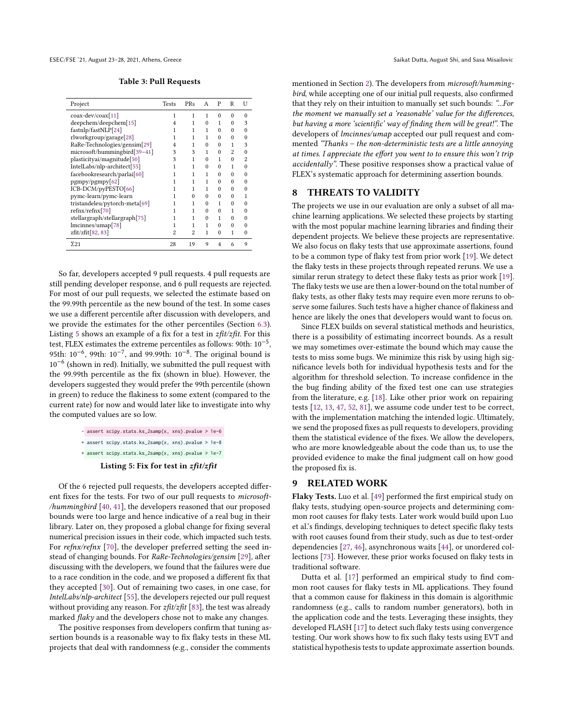<span id="page-9-0"></span>ESEC/FSE '21, August 23-28, 2021, Athens, Greece Saikat Dutta, August Shi, and Sasa Misailovic

Table 3: Pull Requests

| Project                       | <b>Tests</b> | PRs | A        | P              | R              | U              |
|-------------------------------|--------------|-----|----------|----------------|----------------|----------------|
| $coax$ -dev/ $coax[11]$       | 1            | 1   | 1        | $\Omega$       | $\Omega$       | 0              |
| deepchem/deepchem[15]         |              | 1   | $\Omega$ | 1              | $\Omega$       | 3              |
| fastnlp/fastNLP[24]           |              | 1   | 1        | $\Omega$       | $\Omega$       |                |
| rlworkgroup/garage[28]        |              |     | 1        | $\Omega$       | 0              |                |
| RaRe-Technologies/gensim[29]  | 4            |     | $\Omega$ | $\Omega$       | 1              | 3              |
| microsoft/hummingbird[39-41]  | 3            | 3   | 1        | $\Omega$       | $\overline{c}$ | 0              |
| plasticityai/magnitude[50]    | 3            | 1   | $\Omega$ | 1              | $\Omega$       | $\overline{c}$ |
| IntelLabs/nlp-architect[55]   | 1            | 1   | $\Omega$ | $\Omega$       | 1              |                |
| facebookresearch/parlai[60]   |              | 1   | 1        | $\Omega$       | $\Omega$       |                |
| pgmpy/pgmpy[62]               |              | 1   | 1        | $\Omega$       | 0              | 0              |
| ICB-DCM/pyPESTO[66]           |              | 1   | 1        | $\Omega$       | $\Omega$       | 0              |
| pymc-learn/pymc-learn         |              | 0   | $\Omega$ | $\Omega$       | 0              |                |
| tristandeleu/pytorch-meta[69] |              | 1   | $\Omega$ | 1              | O              |                |
| refnx/refnx[70]               |              | 1   | $\Omega$ | $\Omega$       | 1              | O              |
| stellargraph/stellargraph[75] |              | 1   | $\Omega$ | 1              | $\Omega$       | 0              |
| lmcinnes/umap[78]             |              | 1   | 1        | $\Omega$       | $\Omega$       | O              |
| zfit/zfit[82, 83]             | 2            | 2   | 1        | $\Omega$       | 1              | 0              |
| $\Sigma$ 21                   | 28           | 19  | 9        | $\overline{4}$ | 6              | 9              |

So far, developers accepted 9 pull requests. 4 pull requests are still pending developer response, and 6 pull requests are rejected. For most of our pull requests, we selected the estimate based on the 99.99th percentile as the new bound of the test. In some cases we use a different percentile after discussion with developers, and we provide the estimates for the other percentiles (Section [6.3\)](#page-7-1). Listing [5](#page-9-1) shows an example of a fix for a test in  $z\frac{fit}{z\text{fit}}$ . For this test, FLEX estimates the extreme percentiles as follows: 90th:  $10^{-5}$ . 95th:  $10^{-6}$ , 99th:  $10^{-7}$ , and 99.99th:  $10^{-8}$ . The original bound is  $10^{-6}$  (shown in red) Initially we submitted the pull request with 10−<sup>6</sup> (shown in red). Initially, we submitted the pull request with the 99.99th percentile as the fix (shown in blue). However, the developers suggested they would prefer the 99th percentile (shown in green) to reduce the flakiness to some extent (compared to the current rate) for now and would later like to investigate into why the computed values are so low.

<span id="page-9-1"></span>

|  | - assert scipy.stats.ks_2samp(x, xns).pvalue > 1e-6 |  |
|--|-----------------------------------------------------|--|
|  | + assert scipy.stats.ks_2samp(x, xns).pvalue > 1e-8 |  |
|  | + assert scipy.stats.ks_2samp(x, xns).pvalue > 1e-7 |  |

Listing 5: Fix for test in  $z\hat{f}$ it/ $z\hat{f}$ it

Of the 6 rejected pull requests, the developers accepted different fixes for the tests. For two of our pull requests to microsoft- /hummingbird [\[40,](#page-11-40) [41\]](#page-11-29), the developers reasoned that our proposed bounds were too large and hence indicative of a real bug in their library. Later on, they proposed a global change for fixing several numerical precision issues in their code, which impacted such tests. For refnx/refnx [\[70\]](#page-11-35), the developer preferred setting the seed instead of changing bounds. For RaRe-Technologies/gensim [\[29\]](#page-11-27), after discussing with the developers, we found that the failures were due to a race condition in the code, and we proposed a different fix that they accepted [\[30\]](#page-11-41). Out of remaining two cases, in one case, for IntelLabs/nlp-architect [\[55\]](#page-11-31), the developers rejected our pull request without providing any reason. For  $z\hat{ft}/z\hat{ft}$  [\[83\]](#page-11-39), the test was already marked flaky and the developers chose not to make any changes.

The positive responses from developers confirm that tuning assertion bounds is a reasonable way to fix flaky tests in these ML projects that deal with randomness (e.g., consider the comments

mentioned in Section [2\)](#page-1-0). The developers from microsoft/hummingbird, while accepting one of our initial pull requests, also confirmed that they rely on their intuition to manually set such bounds: "...For the moment we manually set a 'reasonable' value for the differences, but having a more 'scientific' way of finding them will be great!". The developers of lmcinnes/umap accepted our pull request and commented "Thanks – the non-deterministic tests are a little annoying at times. I appreciate the effort you went to to ensure this won't trip accidentally". These positive responses show a practical value of FLEX's systematic approach for determining assertion bounds.

# 8 THREATS TO VALIDITY

The projects we use in our evaluation are only a subset of all machine learning applications. We selected these projects by starting with the most popular machine learning libraries and finding their dependent projects. We believe these projects are representative. We also focus on flaky tests that use approximate assertions, found to be a common type of flaky test from prior work [\[19\]](#page-10-1). We detect the flaky tests in these projects through repeated reruns. We use a similar rerun strategy to detect these flaky tests as prior work [\[19\]](#page-10-1). The flaky tests we use are then a lower-bound on the total number of flaky tests, as other flaky tests may require even more reruns to observe some failures. Such tests have a higher chance of flakiness and hence are likely the ones that developers would want to focus on.

Since FLEX builds on several statistical methods and heuristics, there is a possibility of estimating incorrect bounds. As a result we may sometimes over-estimate the bound which may cause the tests to miss some bugs. We minimize this risk by using high significance levels both for individual hypothesis tests and for the algorithm for threshold selection. To increase confidence in the the bug finding ability of the fixed test one can use strategies from the literature, e.g. [\[18\]](#page-10-0). Like other prior work on repairing tests [\[12,](#page-10-13) [13,](#page-10-14) [47,](#page-11-42) [52,](#page-11-43) [81\]](#page-11-44), we assume code under test to be correct, with the implementation matching the intended logic. Ultimately, we send the proposed fixes as pull requests to developers, providing them the statistical evidence of the fixes. We allow the developers, who are more knowledgeable about the code than us, to use the provided evidence to make the final judgment call on how good the proposed fix is.

#### 9 RELATED WORK

Flaky Tests. Luo et al. [\[49\]](#page-11-6) performed the first empirical study on flaky tests, studying open-source projects and determining common root causes for flaky tests. Later work would build upon Luo et al.'s findings, developing techniques to detect specific flaky tests with root causes found from their study, such as due to test-order dependencies [\[27,](#page-11-45) [46\]](#page-11-46), asynchronous waits [\[44\]](#page-11-47), or unordered collections [\[73\]](#page-11-48). However, these prior works focused on flaky tests in traditional software.

Dutta et al. [\[17\]](#page-10-15) performed an empirical study to find common root causes for flaky tests in ML applications. They found that a common cause for flakiness in this domain is algorithmic randomness (e.g., calls to random number generators), both in the application code and the tests. Leveraging these insights, they developed FLASH [\[17\]](#page-10-15) to detect such flaky tests using convergence testing. Our work shows how to fix such flaky tests using EVT and statistical hypothesis tests to update approximate assertion bounds.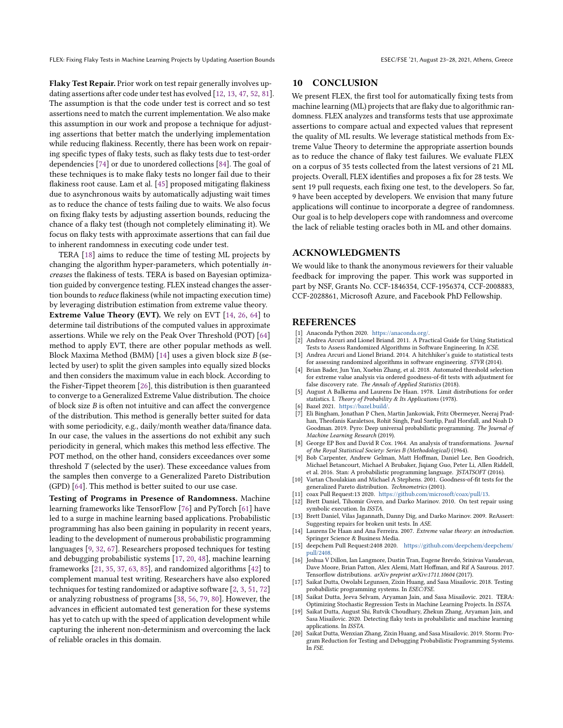Flaky Test Repair. Prior work on test repair generally involves updating assertions after code under test has evolved [\[12,](#page-10-13) [13,](#page-10-14) [47,](#page-11-42) [52,](#page-11-43) [81\]](#page-11-44). The assumption is that the code under test is correct and so test assertions need to match the current implementation. We also make this assumption in our work and propose a technique for adjusting assertions that better match the underlying implementation while reducing flakiness. Recently, there has been work on repairing specific types of flaky tests, such as flaky tests due to test-order dependencies [\[74\]](#page-11-49) or due to unordered collections [\[84\]](#page-11-50). The goal of these techniques is to make flaky tests no longer fail due to their flakiness root cause. Lam et al. [\[45\]](#page-11-51) proposed mitigating flakiness due to asynchronous waits by automatically adjusting wait times as to reduce the chance of tests failing due to waits. We also focus on fixing flaky tests by adjusting assertion bounds, reducing the chance of a flaky test (though not completely eliminating it). We focus on flaky tests with approximate assertions that can fail due to inherent randomness in executing code under test.

TERA [\[18\]](#page-10-0) aims to reduce the time of testing ML projects by changing the algorithm hyper-parameters, which potentially increases the flakiness of tests. TERA is based on Bayesian optimization guided by convergence testing. FLEX instead changes the assertion bounds to reduce flakiness (while not impacting execution time) by leveraging distribution estimation from extreme value theory. Extreme Value Theory (EVT). We rely on EVT [\[14,](#page-10-2) [26,](#page-11-7) [64\]](#page-11-8) to determine tail distributions of the computed values in approximate assertions. While we rely on the Peak Over Threshold (POT) [\[64\]](#page-11-8) method to apply EVT, there are other popular methods as well. Block Maxima Method (BMM) [\[14\]](#page-10-2) uses a given block size B (selected by user) to split the given samples into equally sized blocks and then considers the maximum value in each block. According to the Fisher-Tippet theorem [\[26\]](#page-11-7), this distribution is then guaranteed to converge to a Generalized Extreme Value distribution. The choice of block size  $B$  is often not intuitive and can affect the convergence of the distribution. This method is generally better suited for data with some periodicity, e.g., daily/month weather data/finance data. In our case, the values in the assertions do not exhibit any such periodicity in general, which makes this method less effective. The POT method, on the other hand, considers exceedances over some threshold  $T$  (selected by the user). These exceedance values from the samples then converge to a Generalized Pareto Distribution (GPD) [\[64\]](#page-11-8). This method is better suited to our use case.

Testing of Programs in Presence of Randomness. Machine learning frameworks like TensorFlow [\[76\]](#page-11-12) and PyTorch [\[61\]](#page-11-11) have led to a surge in machine learning based applications. Probabilistic programming has also been gaining in popularity in recent years, leading to the development of numerous probabilistic programming languages [\[9,](#page-10-16) [32,](#page-11-3) [67\]](#page-11-52). Researchers proposed techniques for testing and debugging probabilistic systems [\[17,](#page-10-15) [20,](#page-10-17) [48\]](#page-11-53), machine learning frameworks [\[21,](#page-11-54) [35,](#page-11-55) [37,](#page-11-56) [63,](#page-11-57) [85\]](#page-11-58), and randomized algorithms [\[42\]](#page-11-59) to complement manual test writing. Researchers have also explored techniques for testing randomized or adaptive software [\[2,](#page-10-18) [3,](#page-10-19) [51,](#page-11-60) [72\]](#page-11-61) or analyzing robustness of programs [\[38,](#page-11-62) [56,](#page-11-63) [79,](#page-11-64) [80\]](#page-11-65). However, the advances in efficient automated test generation for these systems has yet to catch up with the speed of application development while capturing the inherent non-determinism and overcoming the lack of reliable oracles in this domain.

## 10 CONCLUSION

We present FLEX, the first tool for automatically fixing tests from machine learning (ML) projects that are flaky due to algorithmic randomness. FLEX analyzes and transforms tests that use approximate assertions to compare actual and expected values that represent the quality of ML results. We leverage statistical methods from Extreme Value Theory to determine the appropriate assertion bounds as to reduce the chance of flaky test failures. We evaluate FLEX on a corpus of 35 tests collected from the latest versions of 21 ML projects. Overall, FLEX identifies and proposes a fix for 28 tests. We sent 19 pull requests, each fixing one test, to the developers. So far, 9 have been accepted by developers. We envision that many future applications will continue to incorporate a degree of randomness. Our goal is to help developers cope with randomness and overcome the lack of reliable testing oracles both in ML and other domains.

# ACKNOWLEDGMENTS

We would like to thank the anonymous reviewers for their valuable feedback for improving the paper. This work was supported in part by NSF, Grants No. CCF-1846354, CCF-1956374, CCF-2008883, CCF-2028861, Microsoft Azure, and Facebook PhD Fellowship.

## **REFERENCES**

- <span id="page-10-9"></span>[1] Anaconda Python 2020. [https://anaconda.org/.](https://anaconda.org/)
- <span id="page-10-18"></span>[2] Andrea Arcuri and Lionel Briand. 2011. A Practical Guide for Using Statistical Tests to Assess Randomized Algorithms in Software Engineering. In ICSE.
- <span id="page-10-19"></span>[3] Andrea Arcuri and Lionel Briand. 2014. A hitchhiker's guide to statistical tests for assessing randomized algorithms in software engineering. STVR (2014).
- <span id="page-10-5"></span>[4] Brian Bader, Jun Yan, Xuebin Zhang, et al. 2018. Automated threshold selection for extreme value analysis via ordered goodness-of-fit tests with adjustment for false discovery rate. The Annals of Applied Statistics (2018).
- <span id="page-10-7"></span>[5] August A Balkema and Laurens De Haan. 1978. Limit distributions for order statistics. I. Theory of Probability & Its Applications (1978).
- <span id="page-10-10"></span>[6] Bazel 2021. [https://bazel.build/.](https://bazel.build/)
- <span id="page-10-4"></span>[7] Eli Bingham, Jonathan P Chen, Martin Jankowiak, Fritz Obermeyer, Neeraj Pradhan, Theofanis Karaletsos, Rohit Singh, Paul Szerlip, Paul Horsfall, and Noah D Goodman. 2019. Pyro: Deep universal probabilistic programming. The Journal of Machine Learning Research (2019).
- <span id="page-10-8"></span>[8] George EP Box and David R Cox. 1964. An analysis of transformations. Journal of the Royal Statistical Society: Series B (Methodological) (1964).
- <span id="page-10-16"></span>[9] Bob Carpenter, Andrew Gelman, Matt Hoffman, Daniel Lee, Ben Goodrich, Michael Betancourt, Michael A Brubaker, Jiqiang Guo, Peter Li, Allen Riddell, et al. 2016. Stan: A probabilistic programming language. JSTATSOFT (2016).
- <span id="page-10-6"></span>[10] Vartan Choulakian and Michael A Stephens. 2001. Goodness-of-fit tests for the generalized Pareto distribution. Technometrics (2001).
- <span id="page-10-11"></span>[11] coax Pull Request:13 2020. [https://github.com/microsoft/coax/pull/13.](https://github.com/microsoft/coax/pull/13 )
- <span id="page-10-13"></span>[12] Brett Daniel, Tihomir Gvero, and Darko Marinov. 2010. On test repair using symbolic execution. In ISSTA.
- <span id="page-10-14"></span>[13] Brett Daniel, Vilas Jagannath, Danny Dig, and Darko Marinov. 2009. ReAssert: Suggesting repairs for broken unit tests. In ASE.
- <span id="page-10-2"></span>[14] Laurens De Haan and Ana Ferreira. 2007. Extreme value theory: an introduction. Springer Science & Business Media.
- <span id="page-10-12"></span>[15] deepchem Pull Request:2408 2020. [https://github.com/deepchem/deepchem/](https://github.com/deepchem/deepchem/pull/2408) [pull/2408.](https://github.com/deepchem/deepchem/pull/2408)
- <span id="page-10-3"></span>[16] Joshua V Dillon, Ian Langmore, Dustin Tran, Eugene Brevdo, Srinivas Vasudevan, Dave Moore, Brian Patton, Alex Alemi, Matt Hoffman, and Rif A Saurous. 2017. Tensorflow distributions. arXiv preprint arXiv:1711.10604 (2017).
- <span id="page-10-15"></span>[17] Saikat Dutta, Owolabi Legunsen, Zixin Huang, and Sasa Misailovic. 2018. Testing probabilistic programming systems. In ESEC/FSE.
- <span id="page-10-0"></span>[18] Saikat Dutta, Jeeva Selvam, Aryaman Jain, and Sasa Misailovic. 2021. TERA: Optimizing Stochastic Regression Tests in Machine Learning Projects. In ISSTA.
- <span id="page-10-1"></span>Saikat Dutta, August Shi, Rutvik Choudhary, Zhekun Zhang, Aryaman Jain, and Sasa Misailovic. 2020. Detecting flaky tests in probabilistic and machine learning applications. In ISSTA.
- <span id="page-10-17"></span>[20] Saikat Dutta, Wenxian Zhang, Zixin Huang, and Sasa Misailovic. 2019. Storm: Program Reduction for Testing and Debugging Probabilistic Programming Systems. In FSE.